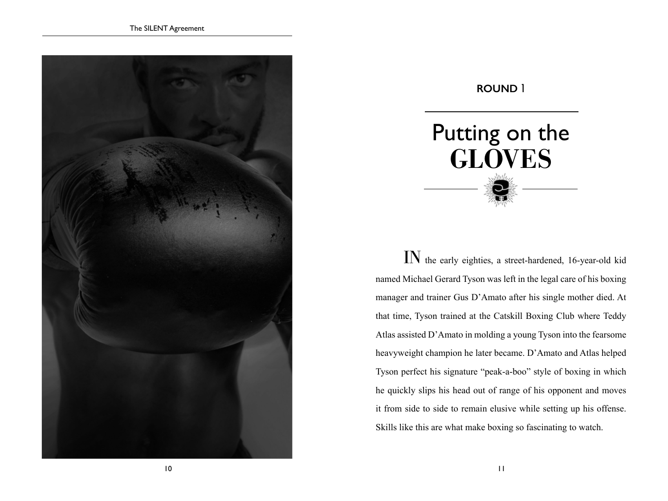



IN the early eighties, a street-hardened, 16-year-old kid named Michael Gerard Tyson was left in the legal care of his boxing manager and trainer Gus D'Amato after his single mother died. At that time, Tyson trained at the Catskill Boxing Club where Teddy Atlas assisted D'Amato in molding a young Tyson into the fearsome heavyweight champion he later became. D'Amato and Atlas helped Tyson perfect his signature "peak-a-boo" style of boxing in which he quickly slips his head out of range of his opponent and moves it from side to side to remain elusive while setting up his offense. Skills like this are what make boxing so fascinating to watch.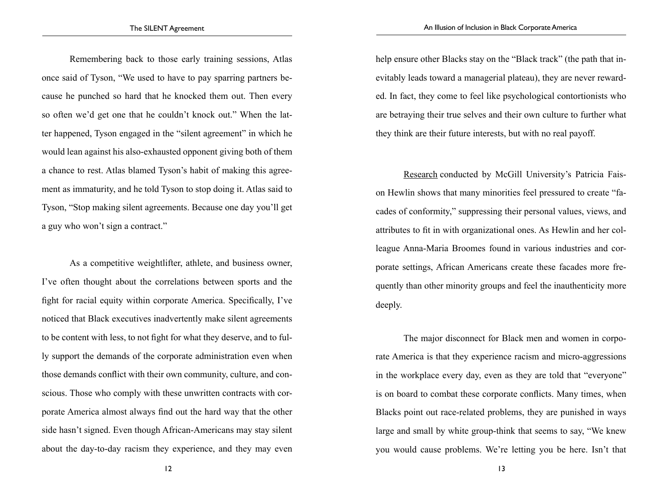Remembering back to those early training sessions, Atlas once said of Tyson, "We used to have to pay sparring partners because he punched so hard that he knocked them out. Then every so often we'd get one that he couldn't knock out." When the latter happened, Tyson engaged in the "silent agreement" in which he would lean against his also-exhausted opponent giving both of them a chance to rest. Atlas blamed Tyson's habit of making this agreement as immaturity, and he told Tyson to stop doing it. Atlas said to Tyson, "Stop making silent agreements. Because one day you'll get a guy who won't sign a contract."

As a competitive weightlifter, athlete, and business owner, I've often thought about the correlations between sports and the fight for racial equity within corporate America. Specifically, I've noticed that Black executives inadvertently make silent agreements to be content with less, to not fight for what they deserve, and to fully support the demands of the corporate administration even when those demands conflict with their own community, culture, and conscious. Those who comply with these unwritten contracts with corporate America almost always find out the hard way that the other side hasn't signed. Even though African-Americans may stay silent about the day-to-day racism they experience, and they may even

help ensure other Blacks stay on the "Black track" (the path that inevitably leads toward a managerial plateau), they are never rewarded. In fact, they come to feel like psychological contortionists who are betraying their true selves and their own culture to further what they think are their future interests, but with no real payoff.

Research conducted by McGill University's Patricia Faison Hewlin shows that many minorities feel pressured to create "facades of conformity," suppressing their personal values, views, and attributes to fit in with organizational ones. As Hewlin and her colleague Anna-Maria Broomes found in various industries and corporate settings, African Americans create these facades more frequently than other minority groups and feel the inauthenticity more deeply.

The major disconnect for Black men and women in corporate America is that they experience racism and micro-aggressions in the workplace every day, even as they are told that "everyone" is on board to combat these corporate conflicts. Many times, when Blacks point out race-related problems, they are punished in ways large and small by white group-think that seems to say, "We knew you would cause problems. We're letting you be here. Isn't that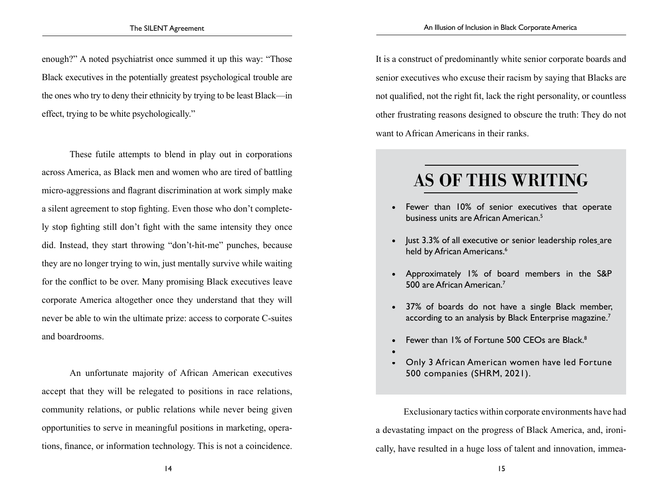enough?" A noted psychiatrist once summed it up this way: "Those Black executives in the potentially greatest psychological trouble are the ones who try to deny their ethnicity by trying to be least Black—in effect, trying to be white psychologically."

These futile attempts to blend in play out in corporations across America, as Black men and women who are tired of battling micro-aggressions and flagrant discrimination at work simply make a silent agreement to stop fighting. Even those who don't completely stop fighting still don't fight with the same intensity they once did. Instead, they start throwing "don't-hit-me" punches, because they are no longer trying to win, just mentally survive while waiting for the conflict to be over. Many promising Black executives leave corporate America altogether once they understand that they will never be able to win the ultimate prize: access to corporate C-suites and boardrooms.

An unfortunate majority of African American executives accept that they will be relegated to positions in race relations, community relations, or public relations while never being given opportunities to serve in meaningful positions in marketing, operations, finance, or information technology. This is not a coincidence. It is a construct of predominantly white senior corporate boards and senior executives who excuse their racism by saying that Blacks are not qualified, not the right fit, lack the right personality, or countless other frustrating reasons designed to obscure the truth: They do not want to African Americans in their ranks.

## AS OF THIS WRITING

- Fewer than 10% of senior executives that operate business units are African American.5
- Just 3.3% of all executive or senior leadership roles are held by African Americans.<sup>6</sup>
- Approximately 1% of board members in the S&P 500 are African American.7
- 37% of boards do not have a single Black member, according to an analysis by Black Enterprise magazine.<sup>7</sup>
- Fewer than 1% of Fortune 500 CEOs are Black.<sup>8</sup>
- •
- Only 3 African American women have led Fortune 500 companies (SHRM, 2021).

Exclusionary tactics within corporate environments have had a devastating impact on the progress of Black America, and, ironically, have resulted in a huge loss of talent and innovation, immea